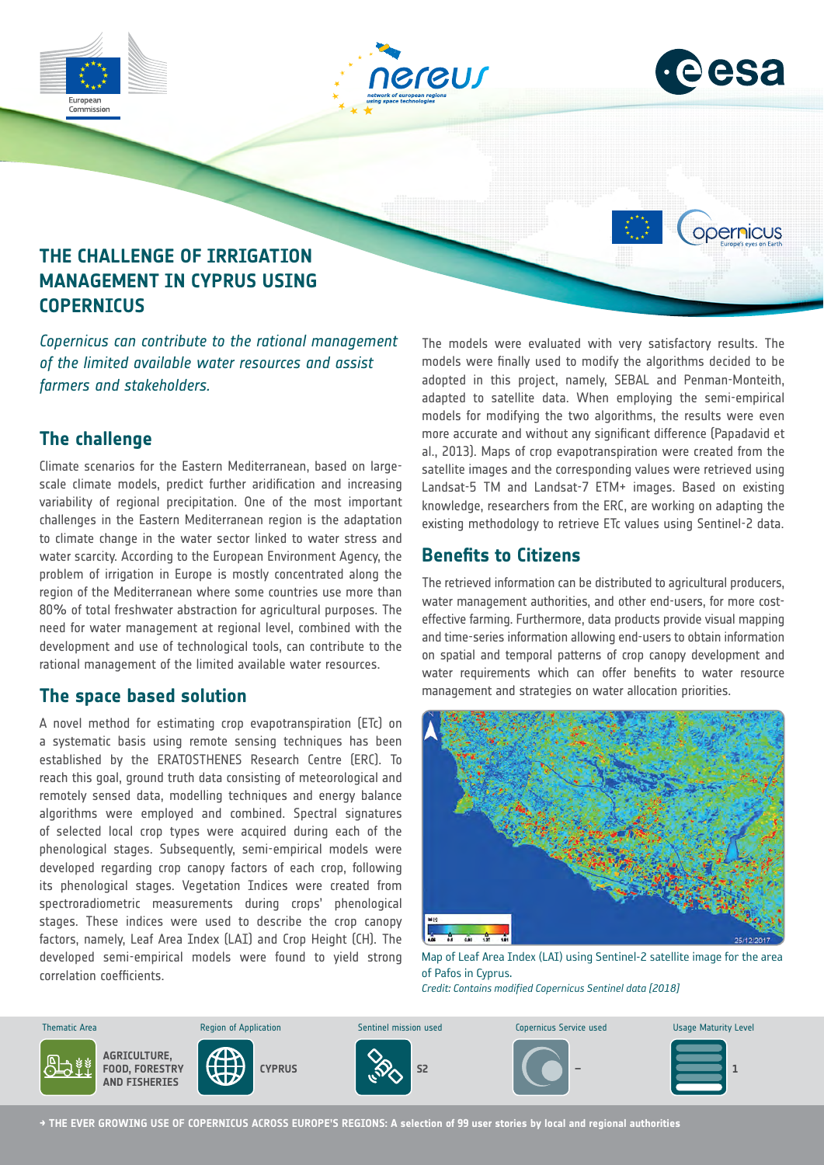

# **The challenge**

Climate scenarios for the Eastern Mediterranean, based on largescale climate models, predict further aridification and increasing variability of regional precipitation. One of the most important challenges in the Eastern Mediterranean region is the adaptation to climate change in the water sector linked to water stress and water scarcity. According to the European Environment Agency, the problem of irrigation in Europe is mostly concentrated along the region of the Mediterranean where some countries use more than 80% of total freshwater abstraction for agricultural purposes. The need for water management at regional level, combined with the development and use of technological tools, can contribute to the rational management of the limited available water resources.

## **The space based solution**

A novel method for estimating crop evapotranspiration (ETc) on a systematic basis using remote sensing techniques has been established by the ERATOSTHENES Research Centre (ERC). To reach this goal, ground truth data consisting of meteorological and remotely sensed data, modelling techniques and energy balance algorithms were employed and combined. Spectral signatures of selected local crop types were acquired during each of the phenological stages. Subsequently, semi-empirical models were developed regarding crop canopy factors of each crop, following its phenological stages. Vegetation Indices were created from spectroradiometric measurements during crops' phenological stages. These indices were used to describe the crop canopy factors, namely, Leaf Area Index (LAI) and Crop Height (CH). The developed semi-empirical models were found to yield strong correlation coefficients.

models for modifying the two algorithms, the results were even more accurate and without any significant difference (Papadavid et al., 2013). Maps of crop evapotranspiration were created from the satellite images and the corresponding values were retrieved using Landsat-5 TM and Landsat-7 ETM+ images. Based on existing knowledge, researchers from the ERC, are working on adapting the existing methodology to retrieve ETc values using Sentinel-2 data.

## **Benefits to Citizens**

The retrieved information can be distributed to agricultural producers, water management authorities, and other end-users, for more costeffective farming. Furthermore, data products provide visual mapping and time-series information allowing end-users to obtain information on spatial and temporal patterns of crop canopy development and water requirements which can offer benefits to water resource management and strategies on water allocation priorities.



Map of Leaf Area Index (LAI) using Sentinel-2 satellite image for the area of Pafos in Cyprus.

*Credit: Contains modified Copernicus Sentinel data [2018]*



**→ THE EVER GROWING USE OF COPERNICUS ACROSS EUROPE'S REGIONS: A selection of 99 user stories by local and regional authorities**